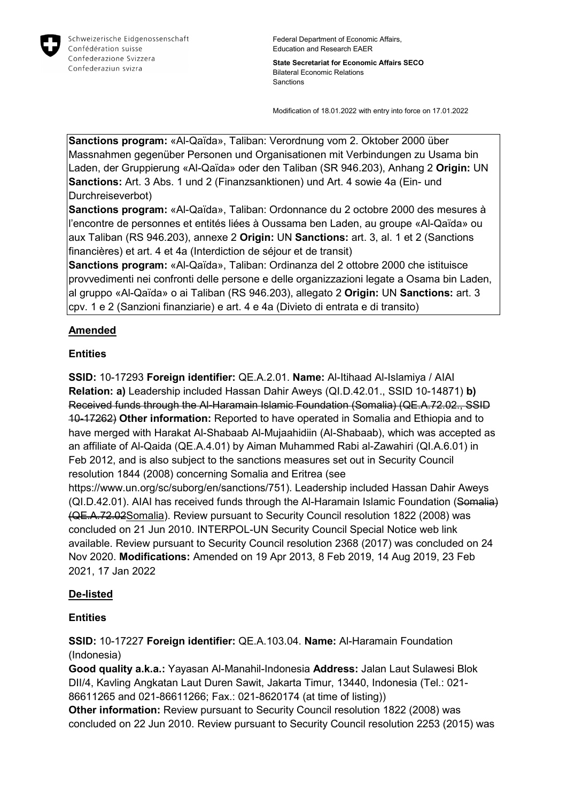

Federal Department of Economic Affairs, Education and Research EAER

**State Secretariat for Economic Affairs SECO** Bilateral Economic Relations Sanctions

Modification of 18.01.2022 with entry into force on 17.01.2022

**Sanctions program:** «Al-Qaïda», Taliban: Verordnung vom 2. Oktober 2000 über Massnahmen gegenüber Personen und Organisationen mit Verbindungen zu Usama bin Laden, der Gruppierung «Al-Qaïda» oder den Taliban (SR 946.203), Anhang 2 **Origin:** UN **Sanctions:** Art. 3 Abs. 1 und 2 (Finanzsanktionen) und Art. 4 sowie 4a (Ein- und Durchreiseverbot)

**Sanctions program:** «Al-Qaïda», Taliban: Ordonnance du 2 octobre 2000 des mesures à l'encontre de personnes et entités liées à Oussama ben Laden, au groupe «Al-Qaïda» ou aux Taliban (RS 946.203), annexe 2 **Origin:** UN **Sanctions:** art. 3, al. 1 et 2 (Sanctions financières) et art. 4 et 4a (Interdiction de séjour et de transit)

**Sanctions program:** «Al-Qaïda», Taliban: Ordinanza del 2 ottobre 2000 che istituisce provvedimenti nei confronti delle persone e delle organizzazioni legate a Osama bin Laden, al gruppo «Al-Qaïda» o ai Taliban (RS 946.203), allegato 2 **Origin:** UN **Sanctions:** art. 3 cpv. 1 e 2 (Sanzioni finanziarie) e art. 4 e 4a (Divieto di entrata e di transito)

# **Amended**

## **Entities**

**SSID:** 10-17293 **Foreign identifier:** QE.A.2.01. **Name:** Al-Itihaad Al-Islamiya / AIAI **Relation: a)** Leadership included Hassan Dahir Aweys (QI.D.42.01., SSID 10-14871) **b)**  Received funds through the Al-Haramain Islamic Foundation (Somalia) (QE.A.72.02., SSID 10-17262) **Other information:** Reported to have operated in Somalia and Ethiopia and to have merged with Harakat Al-Shabaab Al-Mujaahidiin (Al-Shabaab), which was accepted as an affiliate of Al-Qaida (QE.A.4.01) by Aiman Muhammed Rabi al-Zawahiri (QI.A.6.01) in Feb 2012, and is also subject to the sanctions measures set out in Security Council resolution 1844 (2008) concerning Somalia and Eritrea (see https://www.un.org/sc/suborg/en/sanctions/751). Leadership included Hassan Dahir Aweys (QI.D.42.01). AIAI has received funds through the Al-Haramain Islamic Foundation (Somalia) (QE.A.72.02Somalia). Review pursuant to Security Council resolution 1822 (2008) was

concluded on 21 Jun 2010. INTERPOL-UN Security Council Special Notice web link available. Review pursuant to Security Council resolution 2368 (2017) was concluded on 24 Nov 2020. **Modifications:** Amended on 19 Apr 2013, 8 Feb 2019, 14 Aug 2019, 23 Feb 2021, 17 Jan 2022

## **De-listed**

## **Entities**

**SSID:** 10-17227 **Foreign identifier:** QE.A.103.04. **Name:** Al-Haramain Foundation (Indonesia)

**Good quality a.k.a.:** Yayasan Al-Manahil-Indonesia **Address:** Jalan Laut Sulawesi Blok DII/4, Kavling Angkatan Laut Duren Sawit, Jakarta Timur, 13440, Indonesia (Tel.: 021- 86611265 and 021-86611266; Fax.: 021-8620174 (at time of listing))

**Other information:** Review pursuant to Security Council resolution 1822 (2008) was concluded on 22 Jun 2010. Review pursuant to Security Council resolution 2253 (2015) was